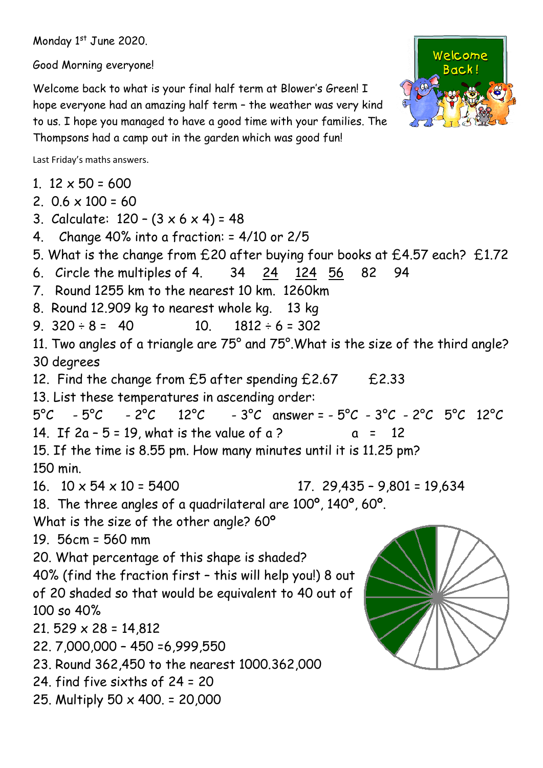Monday 1st June 2020.

Good Morning everyone!

Welcome back to what is your final half term at Blower's Green! I hope everyone had an amazing half term – the weather was very kind to us. I hope you managed to have a good time with your families. The Thompsons had a camp out in the garden which was good fun!



Last Friday's maths answers.

1.  $12 \times 50 = 600$ 

- 2.  $0.6 \times 100 = 60$
- 3. Calculate:  $120 (3 \times 6 \times 4) = 48$
- 4. Change 40% into a fraction: = 4/10 or 2/5
- 5. What is the change from £20 after buying four books at £4.57 each? £1.72
- 6. Circle the multiples of 4. 34 24 124 56 82 94
- 7. Round 1255 km to the nearest 10 km. 1260km
- 8. Round 12.909 kg to nearest whole kg. 13 kg
- 9.  $320 \div 8 = 40$  10.  $1812 \div 6 = 302$

11. Two angles of a triangle are 75° and 75°.What is the size of the third angle? 30 degrees

12. Find the change from £5 after spending £2.67 £2.33

13. List these temperatures in ascending order:

```
5^{\circ}C - 5^{\circ}C - 2^{\circ}C 12°C - 3^{\circ}C answer = -5^{\circ}C - 3^{\circ}C - 2^{\circ}C 5^{\circ}C 12°C
```
14. If  $2a - 5 = 19$ , what is the value of a ?  $a = 12$ 

15. If the time is 8.55 pm. How many minutes until it is 11.25 pm?

150 min.

16.  $10 \times 54 \times 10 = 5400$  17. 29,435 – 9,801 = 19,634

```
18. The three angles of a quadrilateral are 100º, 140º, 60º.
```
What is the size of the other angle? 60º

19. 56cm = 560 mm

20. What percentage of this shape is shaded?

```
40% (find the fraction first – this will help you!) 8 out 
of 20 shaded so that would be equivalent to 40 out of 
100 so 40%
```
21, 529  $\times$  28 = 14,812

- 22. 7,000,000 450 =6,999,550
- 23. Round 362,450 to the nearest 1000.362,000
- 24. find five sixths of 24 = 20
- 25. Multiply 50 x 400. = 20,000

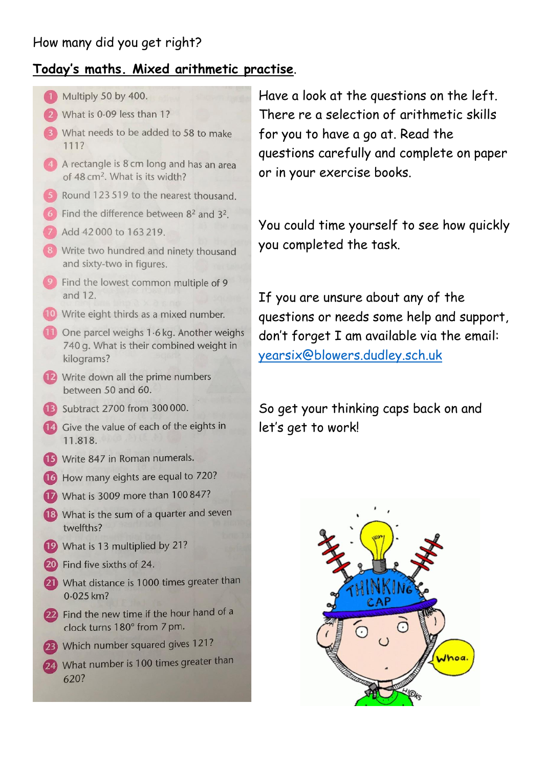## How many did you get right?

#### **Today's maths. Mixed arithmetic practise**.



Have a look at the questions on the left. There re a selection of arithmetic skills for you to have a go at. Read the questions carefully and complete on paper or in your exercise books.

You could time yourself to see how quickly you completed the task.

If you are unsure about any of the questions or needs some help and support, don't forget I am available via the email: [yearsix@blowers.dudley.sch.uk](mailto:yearsix@blowers.dudley.sch.uk)

So get your thinking caps back on and let's get to work!

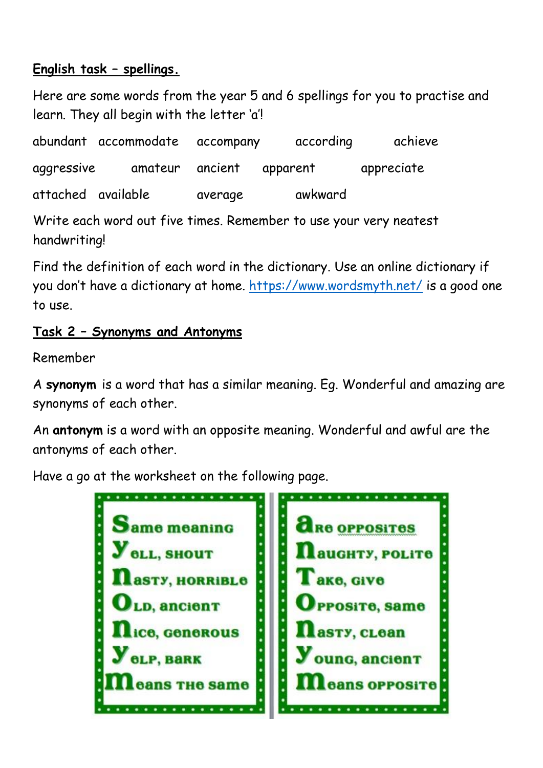# **English task – spellings.**

Here are some words from the year 5 and 6 spellings for you to practise and learn. They all begin with the letter 'a'!

abundant accommodate accompany according achieve aggressive amateur ancient apparent appreciate attached available average awkward

Write each word out five times. Remember to use your very neatest handwriting!

Find the definition of each word in the dictionary. Use an online dictionary if you don't have a dictionary at home.<https://www.wordsmyth.net/> is a good one to use.

# **Task 2 – Synonyms and Antonyms**

Remember

A **synonym** is a word that has a similar meaning. Eg. Wonderful and amazing are synonyms of each other.

An **antonym** is a word with an opposite meaning. Wonderful and awful are the antonyms of each other.

Have a go at the worksheet on the following page.

 $\cdots$ **TRE OPPOSITES** ame meaning  $\vdots$ *<u>AUGHTY, POLITO</u>* **OLL, SHOUT**  $\ddot{\phantom{0}}$ l ake, Give **asty, HORRIBLe**  $\ddot{\phantom{0}}$ **D. ancient** POSITO, Samo **ce, Generous asty, clean** oung, ancient **BLP, BARK** ans THe same ans opposite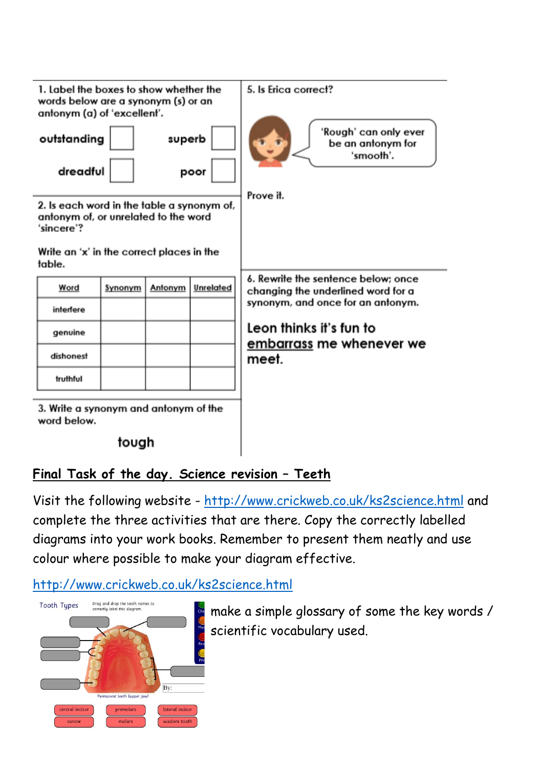

## **Final Task of the day. Science revision – Teeth**

Visit the following website - <http://www.crickweb.co.uk/ks2science.html> and complete the three activities that are there. Copy the correctly labelled diagrams into your work books. Remember to present them neatly and use colour where possible to make your diagram effective.

#### <http://www.crickweb.co.uk/ks2science.html>



make a simple glossary of some the key words / scientific vocabulary used.